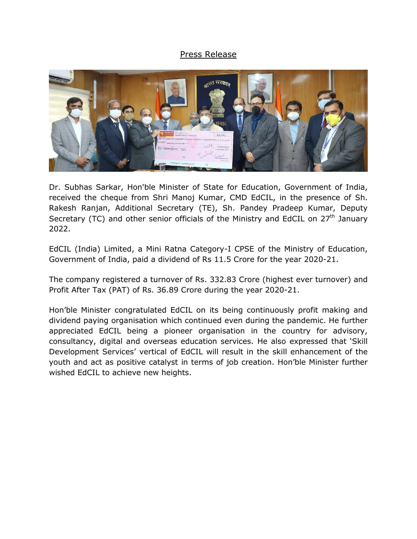## Press Release



Dr. Subhas Sarkar, Hon'ble Minister of State for Education, Government of India, received the cheque from Shri Manoj Kumar, CMD EdCIL, in the presence of Sh. Rakesh Ranjan, Additional Secretary (TE), Sh. Pandey Pradeep Kumar, Deputy Secretary (TC) and other senior officials of the Ministry and EdCIL on  $27<sup>th</sup>$  January 2022.

EdCIL (India) Limited, a Mini Ratna Category-I CPSE of the Ministry of Education, Government of India, paid a dividend of Rs 11.5 Crore for the year 2020-21.

The company registered a turnover of Rs. 332.83 Crore (highest ever turnover) and Profit After Tax (PAT) of Rs. 36.89 Crore during the year 2020-21.

Hon'ble Minister congratulated EdCIL on its being continuously profit making and dividend paying organisation which continued even during the pandemic. He further appreciated EdCIL being a pioneer organisation in the country for advisory, consultancy, digital and overseas education services. He also expressed that 'Skill Development Services' vertical of EdCIL will result in the skill enhancement of the youth and act as positive catalyst in terms of job creation. Hon'ble Minister further wished EdCIL to achieve new heights.